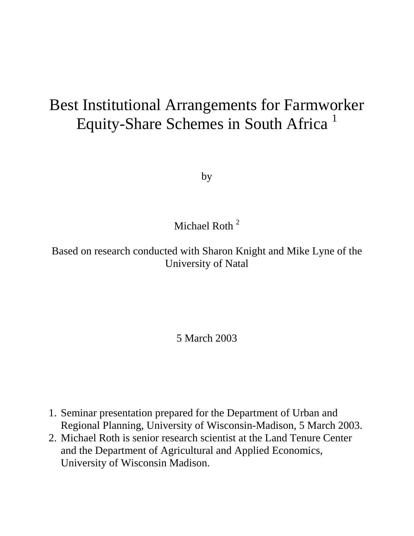# Best Institutional Arrangements for Farmworker Equity-Share Schemes in South Africa<sup>1</sup>

by

### Michael Roth<sup>2</sup>

Based on research conducted with Sharon Knight and Mike Lyne of the University of Natal

#### 5 March 2003

- 1. Seminar presentation prepared for the Department of Urban and Regional Planning, University of Wisconsin-Madison, 5 March 2003.
- 2. Michael Roth is senior research scientist at the Land Tenure Center and the Department of Agricultural and Applied Economics, University of Wisconsin Madison.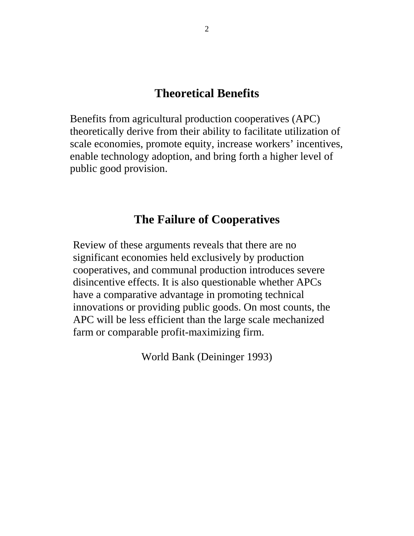#### **Theoretical Benefits**

Benefits from agricultural production cooperatives (APC) theoretically derive from their ability to facilitate utilization of scale economies, promote equity, increase workers' incentives, enable technology adoption, and bring forth a higher level of public good provision.

#### **The Failure of Cooperatives**

Review of these arguments reveals that there are no significant economies held exclusively by production cooperatives, and communal production introduces severe disincentive effects. It is also questionable whether APCs have a comparative advantage in promoting technical innovations or providing public goods. On most counts, the APC will be less efficient than the large scale mechanized farm or comparable profit-maximizing firm.

World Bank (Deininger 1993)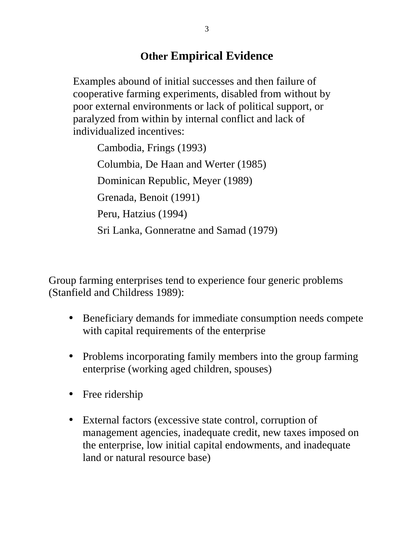### **Other Empirical Evidence**

Examples abound of initial successes and then failure of cooperative farming experiments, disabled from without by poor external environments or lack of political support, or paralyzed from within by internal conflict and lack of individualized incentives:

Cambodia, Frings (1993) Columbia, De Haan and Werter (1985) Dominican Republic, Meyer (1989) Grenada, Benoit (1991) Peru, Hatzius (1994) Sri Lanka, Gonneratne and Samad (1979)

Group farming enterprises tend to experience four generic problems (Stanfield and Childress 1989):

- Beneficiary demands for immediate consumption needs compete with capital requirements of the enterprise
- Problems incorporating family members into the group farming enterprise (working aged children, spouses)
- Free ridership
- External factors (excessive state control, corruption of management agencies, inadequate credit, new taxes imposed on the enterprise, low initial capital endowments, and inadequate land or natural resource base)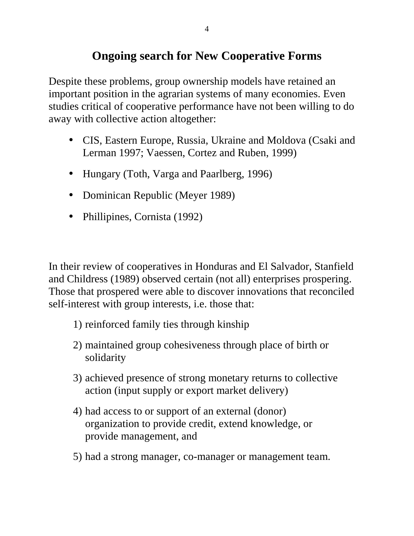### **Ongoing search for New Cooperative Forms**

Despite these problems, group ownership models have retained an important position in the agrarian systems of many economies. Even studies critical of cooperative performance have not been willing to do away with collective action altogether:

- CIS, Eastern Europe, Russia, Ukraine and Moldova (Csaki and Lerman 1997; Vaessen, Cortez and Ruben, 1999)
- Hungary (Toth, Varga and Paarlberg, 1996)
- Dominican Republic (Meyer 1989)
- Phillipines, Cornista (1992)

In their review of cooperatives in Honduras and El Salvador, Stanfield and Childress (1989) observed certain (not all) enterprises prospering. Those that prospered were able to discover innovations that reconciled self-interest with group interests, i.e. those that:

- 1) reinforced family ties through kinship
- 2) maintained group cohesiveness through place of birth or solidarity
- 3) achieved presence of strong monetary returns to collective action (input supply or export market delivery)
- 4) had access to or support of an external (donor) organization to provide credit, extend knowledge, or provide management, and
- 5) had a strong manager, co-manager or management team.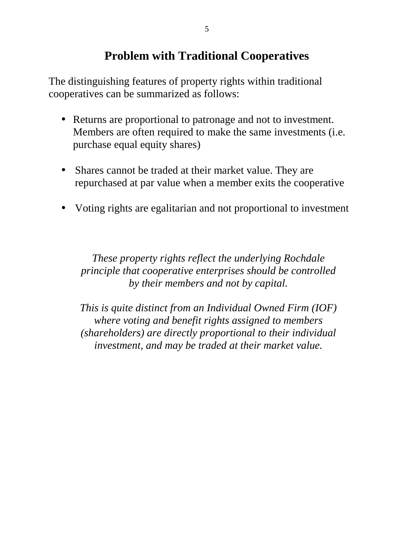### **Problem with Traditional Cooperatives**

The distinguishing features of property rights within traditional cooperatives can be summarized as follows:

- Returns are proportional to patronage and not to investment. Members are often required to make the same investments (i.e. purchase equal equity shares)
- Shares cannot be traded at their market value. They are repurchased at par value when a member exits the cooperative
- Voting rights are egalitarian and not proportional to investment

*These property rights reflect the underlying Rochdale principle that cooperative enterprises should be controlled by their members and not by capital.*

*This is quite distinct from an Individual Owned Firm (IOF) where voting and benefit rights assigned to members (shareholders) are directly proportional to their individual investment, and may be traded at their market value.*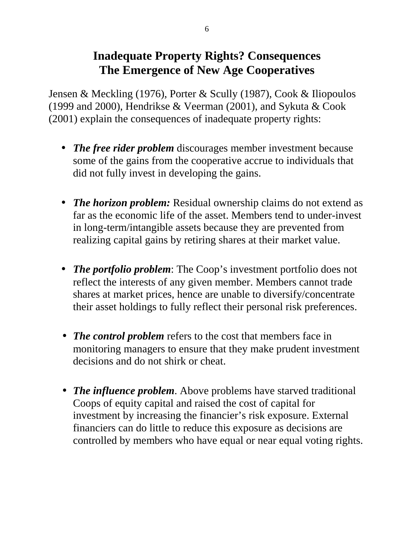### **Inadequate Property Rights? Consequences The Emergence of New Age Cooperatives**

Jensen & Meckling (1976), Porter & Scully (1987), Cook & Iliopoulos (1999 and 2000), Hendrikse & Veerman (2001), and Sykuta & Cook (2001) explain the consequences of inadequate property rights:

- *The free rider problem* discourages member investment because some of the gains from the cooperative accrue to individuals that did not fully invest in developing the gains.
- *The horizon problem:* Residual ownership claims do not extend as far as the economic life of the asset. Members tend to under-invest in long-term/intangible assets because they are prevented from realizing capital gains by retiring shares at their market value.
- *The portfolio problem*: The Coop's investment portfolio does not reflect the interests of any given member. Members cannot trade shares at market prices, hence are unable to diversify/concentrate their asset holdings to fully reflect their personal risk preferences.
- *The control problem* refers to the cost that members face in monitoring managers to ensure that they make prudent investment decisions and do not shirk or cheat.
- *The influence problem*. Above problems have starved traditional Coops of equity capital and raised the cost of capital for investment by increasing the financier's risk exposure. External financiers can do little to reduce this exposure as decisions are controlled by members who have equal or near equal voting rights.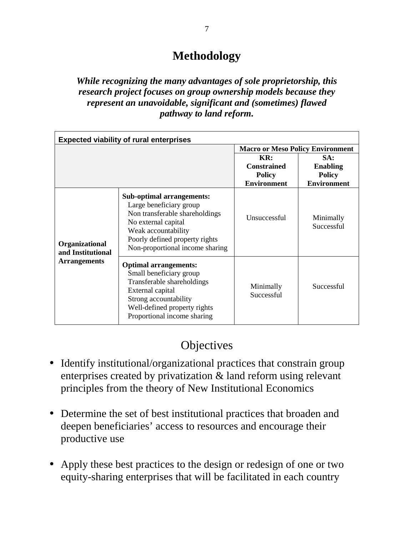### **Methodology**

#### *While recognizing the many advantages of sole proprietorship, this research project focuses on group ownership models because they represent an unavoidable, significant and (sometimes) flawed pathway to land reform.*

| <b>Expected viability of rural enterprises</b> |                                                                                                                                                                                                                  |                                                                  |                                                               |  |  |  |  |  |
|------------------------------------------------|------------------------------------------------------------------------------------------------------------------------------------------------------------------------------------------------------------------|------------------------------------------------------------------|---------------------------------------------------------------|--|--|--|--|--|
|                                                |                                                                                                                                                                                                                  | <b>Macro or Meso Policy Environment</b>                          |                                                               |  |  |  |  |  |
|                                                |                                                                                                                                                                                                                  | KR:<br><b>Constrained</b><br><b>Policy</b><br><b>Environment</b> | SA:<br><b>Enabling</b><br><b>Policy</b><br><b>Environment</b> |  |  |  |  |  |
| Organizational<br>and Institutional            | <b>Sub-optimal arrangements:</b><br>Large beneficiary group<br>Non transferable shareholdings<br>No external capital<br>Weak accountability<br>Poorly defined property rights<br>Non-proportional income sharing | Unsuccessful                                                     | Minimally<br>Successful                                       |  |  |  |  |  |
| <b>Arrangements</b>                            | <b>Optimal arrangements:</b><br>Small beneficiary group<br>Transferable shareholdings<br>External capital<br>Strong accountability<br>Well-defined property rights<br>Proportional income sharing                | Minimally<br>Successful                                          | Successful                                                    |  |  |  |  |  |

### **Objectives**

- Identify institutional/organizational practices that constrain group enterprises created by privatization & land reform using relevant principles from the theory of New Institutional Economics
- Determine the set of best institutional practices that broaden and deepen beneficiaries' access to resources and encourage their productive use
- Apply these best practices to the design or redesign of one or two equity-sharing enterprises that will be facilitated in each country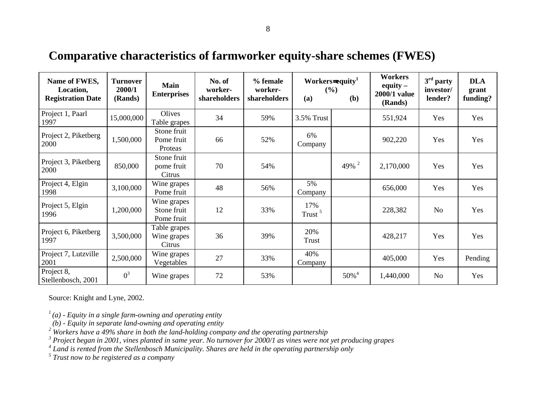# **Comparative characteristics of farmworker equity-share schemes (FWES)**

| Name of FWES,<br>Location,<br><b>Registration Date</b> | <b>Turnover</b><br>2000/1<br>(Rands) | <b>Main</b><br><b>Enterprises</b>        | No. of<br>worker-<br>shareholders | % female<br>worker-<br>shareholders | (a)                       | Workers=equity <sup>1</sup><br>(%)<br>(b) | <b>Workers</b><br>equity $-$<br>2000/1 value<br>(Rands) | $3rd$ party<br>investor/<br>lender? | <b>DLA</b><br>grant<br>funding? |
|--------------------------------------------------------|--------------------------------------|------------------------------------------|-----------------------------------|-------------------------------------|---------------------------|-------------------------------------------|---------------------------------------------------------|-------------------------------------|---------------------------------|
| Project 1, Paarl<br>1997                               | 15,000,000                           | Olives<br>Table grapes                   | 34                                | 59%                                 | 3.5% Trust                |                                           | 551,924                                                 | Yes                                 | Yes                             |
| Project 2, Piketberg<br>2000                           | 1,500,000                            | Stone fruit<br>Pome fruit<br>Proteas     | 66                                | 52%                                 | 6%<br>Company             |                                           | 902,220                                                 | Yes                                 | Yes                             |
| Project 3, Piketberg<br>2000                           | 850,000                              | Stone fruit<br>pome fruit<br>Citrus      | 70                                | 54%                                 |                           | 49% $^{2}$                                | 2,170,000                                               | Yes                                 | Yes                             |
| Project 4, Elgin<br>1998                               | 3,100,000                            | Wine grapes<br>Pome fruit                | 48                                | 56%                                 | 5%<br>Company             |                                           | 656,000                                                 | Yes                                 | Yes                             |
| Project 5, Elgin<br>1996                               | 1,200,000                            | Wine grapes<br>Stone fruit<br>Pome fruit | 12                                | 33%                                 | 17%<br>Trust <sup>5</sup> |                                           | 228,382                                                 | N <sub>o</sub>                      | Yes                             |
| Project 6, Piketberg<br>1997                           | 3,500,000                            | Table grapes<br>Wine grapes<br>Citrus    | 36                                | 39%                                 | 20%<br>Trust              |                                           | 428,217                                                 | Yes                                 | Yes                             |
| Project 7, Lutzville<br>2001                           | 2,500,000                            | Wine grapes<br>Vegetables                | 27                                | 33%                                 | 40%<br>Company            |                                           | 405,000                                                 | Yes                                 | Pending                         |
| Project 8,<br>Stellenbosch, 2001                       | $0^3$                                | Wine grapes                              | 72                                | 53%                                 |                           | $50\%$ <sup>4</sup>                       | 1,440,000                                               | No                                  | Yes                             |

Source: Knight and Lyne, 2002.

*1 (a) - Equity in a single farm-owning and operating entity*

 *(b) - Equity in separate land-owning and operating entity*

*2 Workers have a 49% share in both the land-holding company and the operating partnership*

*3 Project began in 2001, vines planted in same year. No turnover for 2000/1 as vines were not yet producing grapes*

*4 Land is rented from the Stellenbosch Municipality. Shares are held in the operating partnership only*

*5 Trust now to be registered as a company*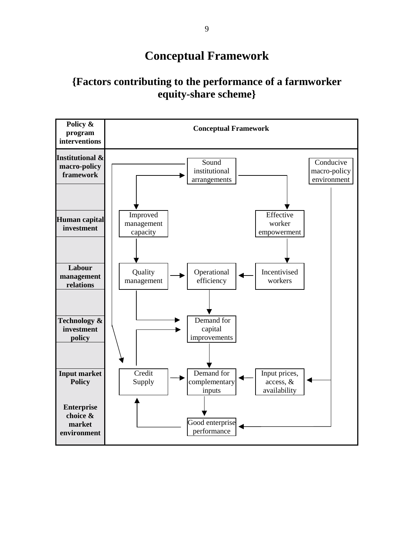### **Conceptual Framework**

#### **{Factors contributing to the performance of a farmworker equity-share scheme}**

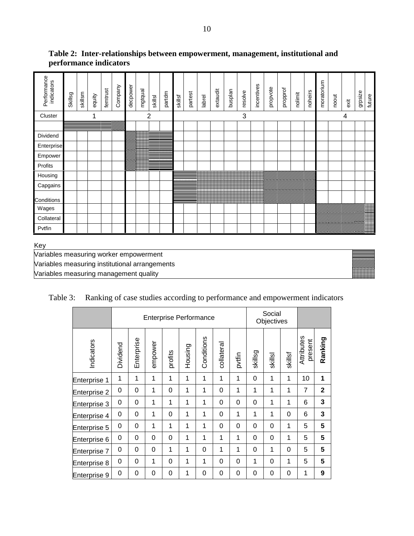| Performance<br>indicators | Skillsg | skillsm | equity | femtrust | Company | decpower | mgtqual | skillsl | partdm | skillsf | partest | labrel | extaudit | husplan | resolve | incentives | propvote | propprof | nolimit | noheirs | moratorium | noout | exit | grpsize | future                                                                                                                                                                                                                           |
|---------------------------|---------|---------|--------|----------|---------|----------|---------|---------|--------|---------|---------|--------|----------|---------|---------|------------|----------|----------|---------|---------|------------|-------|------|---------|----------------------------------------------------------------------------------------------------------------------------------------------------------------------------------------------------------------------------------|
| Cluster                   |         |         |        |          |         |          |         | 2       |        |         |         |        |          |         | 3       |            |          |          |         |         |            |       | 4    |         |                                                                                                                                                                                                                                  |
|                           |         |         |        |          |         |          |         |         |        |         |         |        |          |         |         |            |          |          |         |         |            |       |      |         |                                                                                                                                                                                                                                  |
| Dividend                  |         |         |        |          |         |          | 篇       |         |        |         |         |        |          |         |         |            |          |          |         |         |            |       |      |         |                                                                                                                                                                                                                                  |
| Enterprise                |         |         |        |          |         |          |         |         |        |         |         |        |          |         |         |            |          |          |         |         |            |       |      |         |                                                                                                                                                                                                                                  |
| Empower                   |         |         |        |          |         |          |         |         |        |         |         |        |          |         |         |            |          |          |         |         |            |       |      |         |                                                                                                                                                                                                                                  |
| Profits                   |         |         |        |          |         |          |         |         |        |         |         |        |          |         |         |            |          |          |         |         |            |       |      |         |                                                                                                                                                                                                                                  |
| Housing                   |         |         |        |          |         |          |         |         |        |         |         |        |          |         |         |            |          |          |         |         |            |       |      |         |                                                                                                                                                                                                                                  |
| Capgains                  |         |         |        |          |         |          |         |         |        |         |         |        |          |         |         |            |          |          |         |         |            |       |      |         |                                                                                                                                                                                                                                  |
| Conditions                |         |         |        |          |         |          |         |         |        |         |         |        |          |         |         |            |          |          |         |         |            |       |      |         |                                                                                                                                                                                                                                  |
| Wages                     |         |         |        |          |         |          |         |         |        |         |         |        |          |         |         |            |          |          |         |         |            |       |      |         |                                                                                                                                                                                                                                  |
| Collateral                |         |         |        |          |         |          |         |         |        |         |         |        |          |         |         |            |          |          |         |         |            |       |      |         |                                                                                                                                                                                                                                  |
| Pvtfin                    |         |         |        |          |         |          |         |         |        |         |         |        |          |         |         |            |          |          |         |         |            |       |      |         | a dheeraa iyo dhacaa iyo dhacaa iyo dhacaa iyo dhacaa iyo dhacaa iyo dhacaa iyo dhacaa iyo dhacaa iyo dhacaa i<br>Marka iyo dhacaa iyo dhacaa iyo dhacaa iyo dhacaa iyo dhacaa iyo dhacaa iyo dhacaa iyo dhacaa iyo dhacaa iyo d |
|                           |         |         |        |          |         |          |         |         |        |         |         |        |          |         |         |            |          |          |         |         |            |       |      |         |                                                                                                                                                                                                                                  |

#### **Table 2: Inter-relationships between empowerment, management, institutional and performance indicators**

Key

Variables measuring worker empowerment Variables measuring institutional arrangements Variables measuring management quality

|  | Table 3: Ranking of case studies according to performance and empowerment indicators |  |  |  |  |
|--|--------------------------------------------------------------------------------------|--|--|--|--|
|--|--------------------------------------------------------------------------------------|--|--|--|--|

|              | <b>Enterprise Performance</b> |            |             |             |         |            |            |        |          | Social<br>Objectives |         |                       |              |
|--------------|-------------------------------|------------|-------------|-------------|---------|------------|------------|--------|----------|----------------------|---------|-----------------------|--------------|
| Indicators   | Dividend                      | Enterprise | empower     | profits     | Housing | Conditions | collateral | pvtfin | skillsg  | skillsl              | skillsf | Attributes<br>present | Ranking      |
| Enterprise 1 | 1                             | 1          | 1           | 1           | 1       | 1          | 1          | 1      | $\Omega$ | 1                    | 1       | 10                    | 1            |
| Enterprise 2 | 0                             | 0          | 1           | $\Omega$    | 1       | 1          | $\Omega$   | 1      | 1        | 1                    | 1       | $\overline{7}$        | $\mathbf{2}$ |
| Enterprise 3 | 0                             | 0          | 1           | 1           | 1       | 1          | 0          | 0      | 0        | 1                    | 1       | 6                     | 3            |
| Enterprise 4 | 0                             | 0          | 1           | $\Omega$    | 1       | 1          | $\Omega$   | 1      | 1        | 1                    | 0       | 6                     | 3            |
| Enterprise 5 | 0                             | 0          | 1           | 1           | 1       | 1          | $\Omega$   | 0      | $\Omega$ | 0                    | 1       | 5                     | 5            |
| Enterprise 6 | 0                             | 0          | 0           | 0           | 1       | 1          | 1          | 1      | $\Omega$ | 0                    | 1       | 5                     | 5            |
| Enterprise 7 | 0                             | 0          | $\mathbf 0$ | 1           | 1       | 0          | 1          | 1      | $\Omega$ | 1                    | 0       | 5                     | 5            |
| Enterprise 8 | 0                             | 0          | 1           | 0           | 1       | 1          | $\Omega$   | 0      | 1        | 0                    | 1       | 5                     | 5            |
| Enterprise 9 | 0                             | 0          | 0           | $\mathbf 0$ | 1       | 0          | 0          | 0      | $\Omega$ | 0                    | 0       | 1                     | 9            |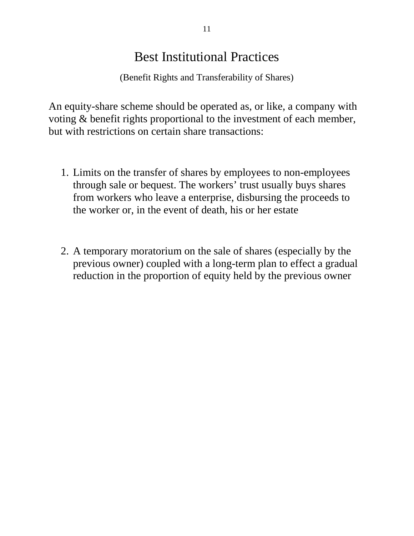## Best Institutional Practices

(Benefit Rights and Transferability of Shares)

An equity-share scheme should be operated as, or like, a company with voting & benefit rights proportional to the investment of each member, but with restrictions on certain share transactions:

- 1. Limits on the transfer of shares by employees to non-employees through sale or bequest. The workers' trust usually buys shares from workers who leave a enterprise, disbursing the proceeds to the worker or, in the event of death, his or her estate
- 2. A temporary moratorium on the sale of shares (especially by the previous owner) coupled with a long-term plan to effect a gradual reduction in the proportion of equity held by the previous owner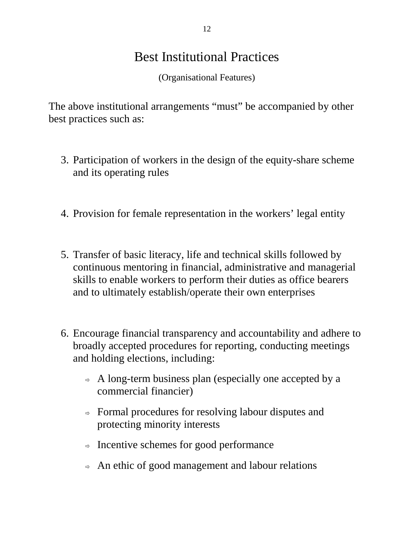# Best Institutional Practices

(Organisational Features)

The above institutional arrangements "must" be accompanied by other best practices such as:

- 3. Participation of workers in the design of the equity-share scheme and its operating rules
- 4. Provision for female representation in the workers' legal entity
- 5. Transfer of basic literacy, life and technical skills followed by continuous mentoring in financial, administrative and managerial skills to enable workers to perform their duties as office bearers and to ultimately establish/operate their own enterprises
- 6. Encourage financial transparency and accountability and adhere to broadly accepted procedures for reporting, conducting meetings and holding elections, including:
	- $\Rightarrow$  A long-term business plan (especially one accepted by a commercial financier)
	- $\Rightarrow$  Formal procedures for resolving labour disputes and protecting minority interests
	- $\Rightarrow$  Incentive schemes for good performance
	- $\Rightarrow$  An ethic of good management and labour relations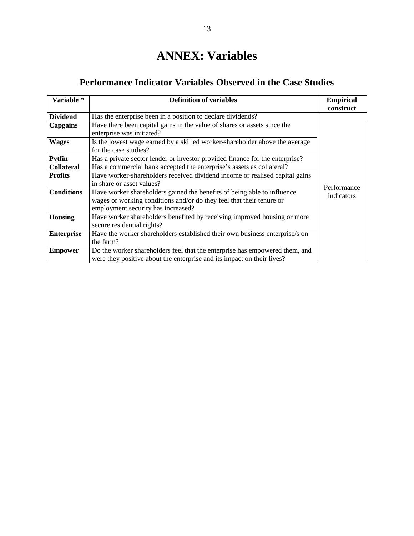# **ANNEX: Variables**

#### **Performance Indicator Variables Observed in the Case Studies**

| Variable *        | <b>Definition of variables</b>                                                                                                                                                        | <b>Empirical</b><br>construct |  |  |  |  |  |  |
|-------------------|---------------------------------------------------------------------------------------------------------------------------------------------------------------------------------------|-------------------------------|--|--|--|--|--|--|
| <b>Dividend</b>   | Has the enterprise been in a position to declare dividends?                                                                                                                           |                               |  |  |  |  |  |  |
| Capgains          | Have there been capital gains in the value of shares or assets since the<br>enterprise was initiated?                                                                                 |                               |  |  |  |  |  |  |
| <b>Wages</b>      | Is the lowest wage earned by a skilled worker-shareholder above the average<br>for the case studies?                                                                                  |                               |  |  |  |  |  |  |
| <b>Pvtfin</b>     | Has a private sector lender or investor provided finance for the enterprise?                                                                                                          |                               |  |  |  |  |  |  |
| <b>Collateral</b> | Has a commercial bank accepted the enterprise's assets as collateral?                                                                                                                 |                               |  |  |  |  |  |  |
| <b>Profits</b>    | Have worker-shareholders received dividend income or realised capital gains                                                                                                           |                               |  |  |  |  |  |  |
|                   | in share or asset values?                                                                                                                                                             | Performance                   |  |  |  |  |  |  |
| <b>Conditions</b> | Have worker shareholders gained the benefits of being able to influence<br>wages or working conditions and/or do they feel that their tenure or<br>employment security has increased? | indicators                    |  |  |  |  |  |  |
| <b>Housing</b>    | Have worker shareholders benefited by receiving improved housing or more<br>secure residential rights?                                                                                |                               |  |  |  |  |  |  |
| <b>Enterprise</b> | Have the worker shareholders established their own business enterprise/s on<br>the farm?                                                                                              |                               |  |  |  |  |  |  |
| <b>Empower</b>    | Do the worker shareholders feel that the enterprise has empowered them, and<br>were they positive about the enterprise and its impact on their lives?                                 |                               |  |  |  |  |  |  |